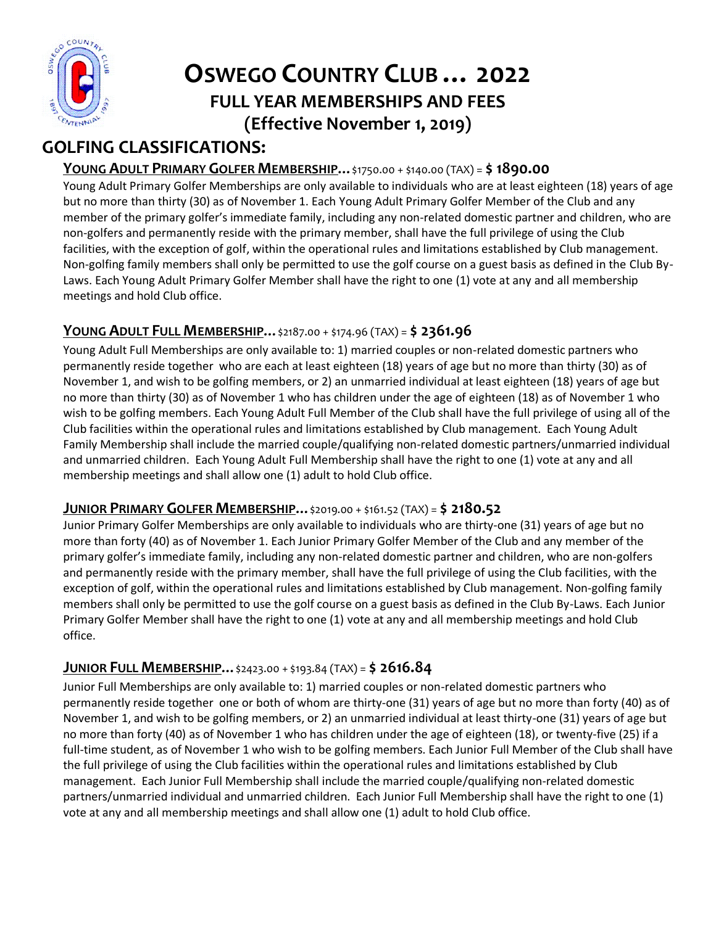

# **OSWEGO COUNTRY CLUB … 2022 FULL YEAR MEMBERSHIPS AND FEES (Effective November 1, 2019)**

# **GOLFING CLASSIFICATIONS:**

# **YOUNG ADULT PRIMARY GOLFER MEMBERSHIP…**\$1750.00 + \$140.00 (TAX) = **\$ 1890.00**

Young Adult Primary Golfer Memberships are only available to individuals who are at least eighteen (18) years of age but no more than thirty (30) as of November 1. Each Young Adult Primary Golfer Member of the Club and any member of the primary golfer's immediate family, including any non-related domestic partner and children, who are non-golfers and permanently reside with the primary member, shall have the full privilege of using the Club facilities, with the exception of golf, within the operational rules and limitations established by Club management. Non-golfing family members shall only be permitted to use the golf course on a guest basis as defined in the Club By-Laws. Each Young Adult Primary Golfer Member shall have the right to one (1) vote at any and all membership meetings and hold Club office.

# **YOUNG ADULT FULL MEMBERSHIP…**\$2187.00 + \$174.96 (TAX) = **\$ 2361.96**

Young Adult Full Memberships are only available to: 1) married couples or non-related domestic partners who permanently reside together who are each at least eighteen (18) years of age but no more than thirty (30) as of November 1, and wish to be golfing members, or 2) an unmarried individual at least eighteen (18) years of age but no more than thirty (30) as of November 1 who has children under the age of eighteen (18) as of November 1 who wish to be golfing members. Each Young Adult Full Member of the Club shall have the full privilege of using all of the Club facilities within the operational rules and limitations established by Club management. Each Young Adult Family Membership shall include the married couple/qualifying non-related domestic partners/unmarried individual and unmarried children. Each Young Adult Full Membership shall have the right to one (1) vote at any and all membership meetings and shall allow one (1) adult to hold Club office.

#### **JUNIOR PRIMARY GOLFER MEMBERSHIP…**\$2019.00 + \$161.52 (TAX) = **\$ 2180.52**

Junior Primary Golfer Memberships are only available to individuals who are thirty-one (31) years of age but no more than forty (40) as of November 1. Each Junior Primary Golfer Member of the Club and any member of the primary golfer's immediate family, including any non-related domestic partner and children, who are non-golfers and permanently reside with the primary member, shall have the full privilege of using the Club facilities, with the exception of golf, within the operational rules and limitations established by Club management. Non-golfing family members shall only be permitted to use the golf course on a guest basis as defined in the Club By-Laws. Each Junior Primary Golfer Member shall have the right to one (1) vote at any and all membership meetings and hold Club office.

#### **JUNIOR FULL MEMBERSHIP…**\$2423.00 + \$193.84 (TAX) = **\$ 2616.84**

Junior Full Memberships are only available to: 1) married couples or non-related domestic partners who permanently reside together one or both of whom are thirty-one (31) years of age but no more than forty (40) as of November 1, and wish to be golfing members, or 2) an unmarried individual at least thirty-one (31) years of age but no more than forty (40) as of November 1 who has children under the age of eighteen (18), or twenty-five (25) if a full-time student, as of November 1 who wish to be golfing members. Each Junior Full Member of the Club shall have the full privilege of using the Club facilities within the operational rules and limitations established by Club management. Each Junior Full Membership shall include the married couple/qualifying non-related domestic partners/unmarried individual and unmarried children. Each Junior Full Membership shall have the right to one (1) vote at any and all membership meetings and shall allow one (1) adult to hold Club office.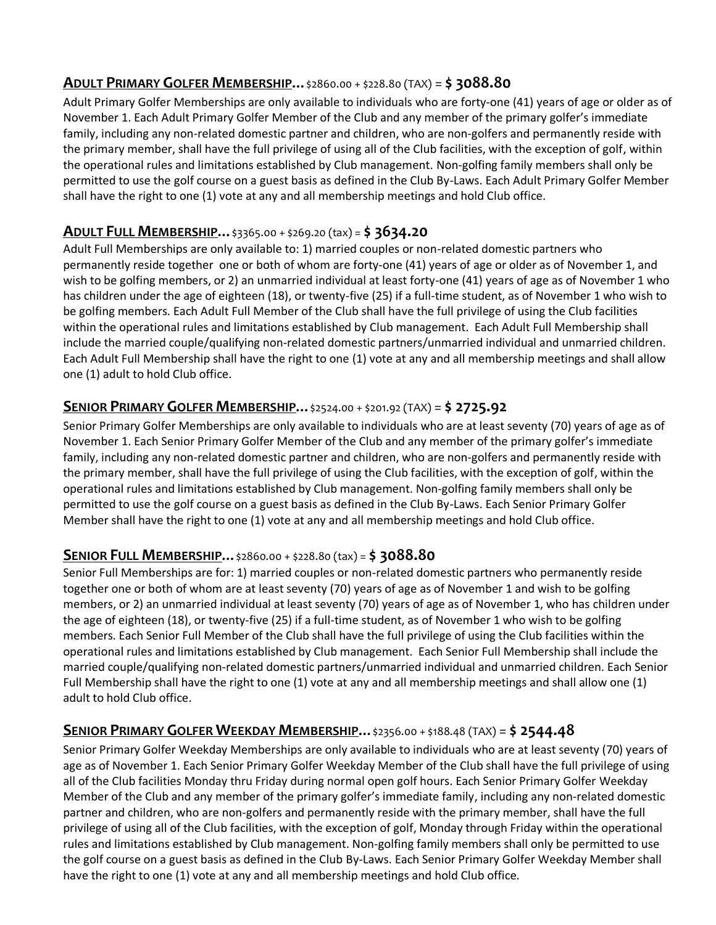#### **ADULT PRIMARY GOLFER MEMBERSHIP…**\$2860.00 + \$228.80 (TAX) = **\$ 3088.80**

Adult Primary Golfer Memberships are only available to individuals who are forty-one (41) years of age or older as of November 1. Each Adult Primary Golfer Member of the Club and any member of the primary golfer's immediate family, including any non-related domestic partner and children, who are non-golfers and permanently reside with the primary member, shall have the full privilege of using all of the Club facilities, with the exception of golf, within the operational rules and limitations established by Club management. Non-golfing family members shall only be permitted to use the golf course on a guest basis as defined in the Club By-Laws. Each Adult Primary Golfer Member shall have the right to one (1) vote at any and all membership meetings and hold Club office.

#### **ADULT FULL MEMBERSHIP…**\$3365.00 + \$269.20 (tax) = **\$ 3634.20**

Adult Full Memberships are only available to: 1) married couples or non-related domestic partners who permanently reside together one or both of whom are forty-one (41) years of age or older as of November 1, and wish to be golfing members, or 2) an unmarried individual at least forty-one (41) years of age as of November 1 who has children under the age of eighteen (18), or twenty-five (25) if a full-time student, as of November 1 who wish to be golfing members. Each Adult Full Member of the Club shall have the full privilege of using the Club facilities within the operational rules and limitations established by Club management. Each Adult Full Membership shall include the married couple/qualifying non-related domestic partners/unmarried individual and unmarried children. Each Adult Full Membership shall have the right to one (1) vote at any and all membership meetings and shall allow one (1) adult to hold Club office.

#### **SENIOR PRIMARY GOLFER MEMBERSHIP…**\$2524.00 + \$201.92 (TAX) = **\$ 2725.92**

Senior Primary Golfer Memberships are only available to individuals who are at least seventy (70) years of age as of November 1. Each Senior Primary Golfer Member of the Club and any member of the primary golfer's immediate family, including any non-related domestic partner and children, who are non-golfers and permanently reside with the primary member, shall have the full privilege of using the Club facilities, with the exception of golf, within the operational rules and limitations established by Club management. Non-golfing family members shall only be permitted to use the golf course on a guest basis as defined in the Club By-Laws. Each Senior Primary Golfer Member shall have the right to one (1) vote at any and all membership meetings and hold Club office.

#### **SENIOR FULL MEMBERSHIP…**\$2860.00 + \$228.80 (tax) = **\$ 3088.80**

Senior Full Memberships are for: 1) married couples or non-related domestic partners who permanently reside together one or both of whom are at least seventy (70) years of age as of November 1 and wish to be golfing members, or 2) an unmarried individual at least seventy (70) years of age as of November 1, who has children under the age of eighteen (18), or twenty-five (25) if a full-time student, as of November 1 who wish to be golfing members. Each Senior Full Member of the Club shall have the full privilege of using the Club facilities within the operational rules and limitations established by Club management. Each Senior Full Membership shall include the married couple/qualifying non-related domestic partners/unmarried individual and unmarried children. Each Senior Full Membership shall have the right to one (1) vote at any and all membership meetings and shall allow one (1) adult to hold Club office.

# **SENIOR PRIMARY GOLFER WEEKDAY MEMBERSHIP…**\$2356.00 + \$188.48 (TAX) = **\$ 2544.48**

Senior Primary Golfer Weekday Memberships are only available to individuals who are at least seventy (70) years of age as of November 1. Each Senior Primary Golfer Weekday Member of the Club shall have the full privilege of using all of the Club facilities Monday thru Friday during normal open golf hours. Each Senior Primary Golfer Weekday Member of the Club and any member of the primary golfer's immediate family, including any non-related domestic partner and children, who are non-golfers and permanently reside with the primary member, shall have the full privilege of using all of the Club facilities, with the exception of golf, Monday through Friday within the operational rules and limitations established by Club management. Non-golfing family members shall only be permitted to use the golf course on a guest basis as defined in the Club By-Laws. Each Senior Primary Golfer Weekday Member shall have the right to one (1) vote at any and all membership meetings and hold Club office.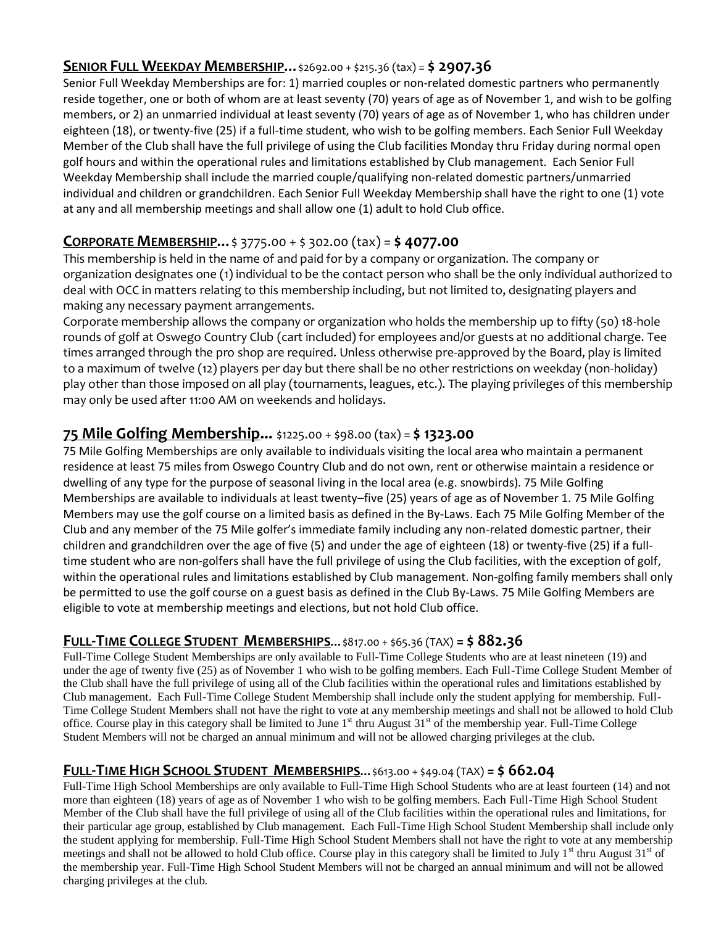#### **SENIOR FULL WEEKDAY MEMBERSHIP…**\$2692.00 + \$215.36 (tax) = **\$ 2907.36**

Senior Full Weekday Memberships are for: 1) married couples or non-related domestic partners who permanently reside together, one or both of whom are at least seventy (70) years of age as of November 1, and wish to be golfing members, or 2) an unmarried individual at least seventy (70) years of age as of November 1, who has children under eighteen (18), or twenty-five (25) if a full-time student, who wish to be golfing members. Each Senior Full Weekday Member of the Club shall have the full privilege of using the Club facilities Monday thru Friday during normal open golf hours and within the operational rules and limitations established by Club management. Each Senior Full Weekday Membership shall include the married couple/qualifying non-related domestic partners/unmarried individual and children or grandchildren. Each Senior Full Weekday Membership shall have the right to one (1) vote at any and all membership meetings and shall allow one (1) adult to hold Club office.

# **CORPORATE MEMBERSHIP…**\$ 3775.00 + \$ 302.00 (tax) = **\$ 4077.00**

This membership is held in the name of and paid for by a company or organization. The company or organization designates one (1) individual to be the contact person who shall be the only individual authorized to deal with OCC in matters relating to this membership including, but not limited to, designating players and making any necessary payment arrangements.

Corporate membership allows the company or organization who holds the membership up to fifty (50) 18-hole rounds of golf at Oswego Country Club (cart included) for employees and/or guests at no additional charge. Tee times arranged through the pro shop are required. Unless otherwise pre-approved by the Board, play is limited to a maximum of twelve (12) players per day but there shall be no other restrictions on weekday (non-holiday) play other than those imposed on all play (tournaments, leagues, etc.). The playing privileges of this membership may only be used after 11:00 AM on weekends and holidays.

# **75 Mile Golfing Membership...** \$1225.00 + \$98.00 (tax) = **\$ 1323.00**

75 Mile Golfing Memberships are only available to individuals visiting the local area who maintain a permanent residence at least 75 miles from Oswego Country Club and do not own, rent or otherwise maintain a residence or dwelling of any type for the purpose of seasonal living in the local area (e.g. snowbirds). 75 Mile Golfing Memberships are available to individuals at least twenty–five (25) years of age as of November 1. 75 Mile Golfing Members may use the golf course on a limited basis as defined in the By-Laws. Each 75 Mile Golfing Member of the Club and any member of the 75 Mile golfer's immediate family including any non-related domestic partner, their children and grandchildren over the age of five (5) and under the age of eighteen (18) or twenty-five (25) if a fulltime student who are non-golfers shall have the full privilege of using the Club facilities, with the exception of golf, within the operational rules and limitations established by Club management. Non-golfing family members shall only be permitted to use the golf course on a guest basis as defined in the Club By-Laws. 75 Mile Golfing Members are eligible to vote at membership meetings and elections, but not hold Club office.

# **FULL-TIME COLLEGE STUDENT MEMBERSHIPS…**\$817.00 + \$65.36 (TAX) **= \$ 882.36**

Full-Time College Student Memberships are only available to Full-Time College Students who are at least nineteen (19) and under the age of twenty five (25) as of November 1 who wish to be golfing members. Each Full-Time College Student Member of the Club shall have the full privilege of using all of the Club facilities within the operational rules and limitations established by Club management. Each Full-Time College Student Membership shall include only the student applying for membership. Full-Time College Student Members shall not have the right to vote at any membership meetings and shall not be allowed to hold Club office. Course play in this category shall be limited to June  $1<sup>st</sup>$  thru August  $31<sup>st</sup>$  of the membership year. Full-Time College Student Members will not be charged an annual minimum and will not be allowed charging privileges at the club.

# **FULL-TIME HIGH SCHOOL STUDENT MEMBERSHIPS…**\$613.00 + \$49.04 (TAX) **= \$ 662.04**

Full-Time High School Memberships are only available to Full-Time High School Students who are at least fourteen (14) and not more than eighteen (18) years of age as of November 1 who wish to be golfing members. Each Full-Time High School Student Member of the Club shall have the full privilege of using all of the Club facilities within the operational rules and limitations, for their particular age group, established by Club management. Each Full-Time High School Student Membership shall include only the student applying for membership. Full-Time High School Student Members shall not have the right to vote at any membership meetings and shall not be allowed to hold Club office. Course play in this category shall be limited to July  $1<sup>st</sup>$  thru August  $31<sup>st</sup>$  of the membership year. Full-Time High School Student Members will not be charged an annual minimum and will not be allowed charging privileges at the club.